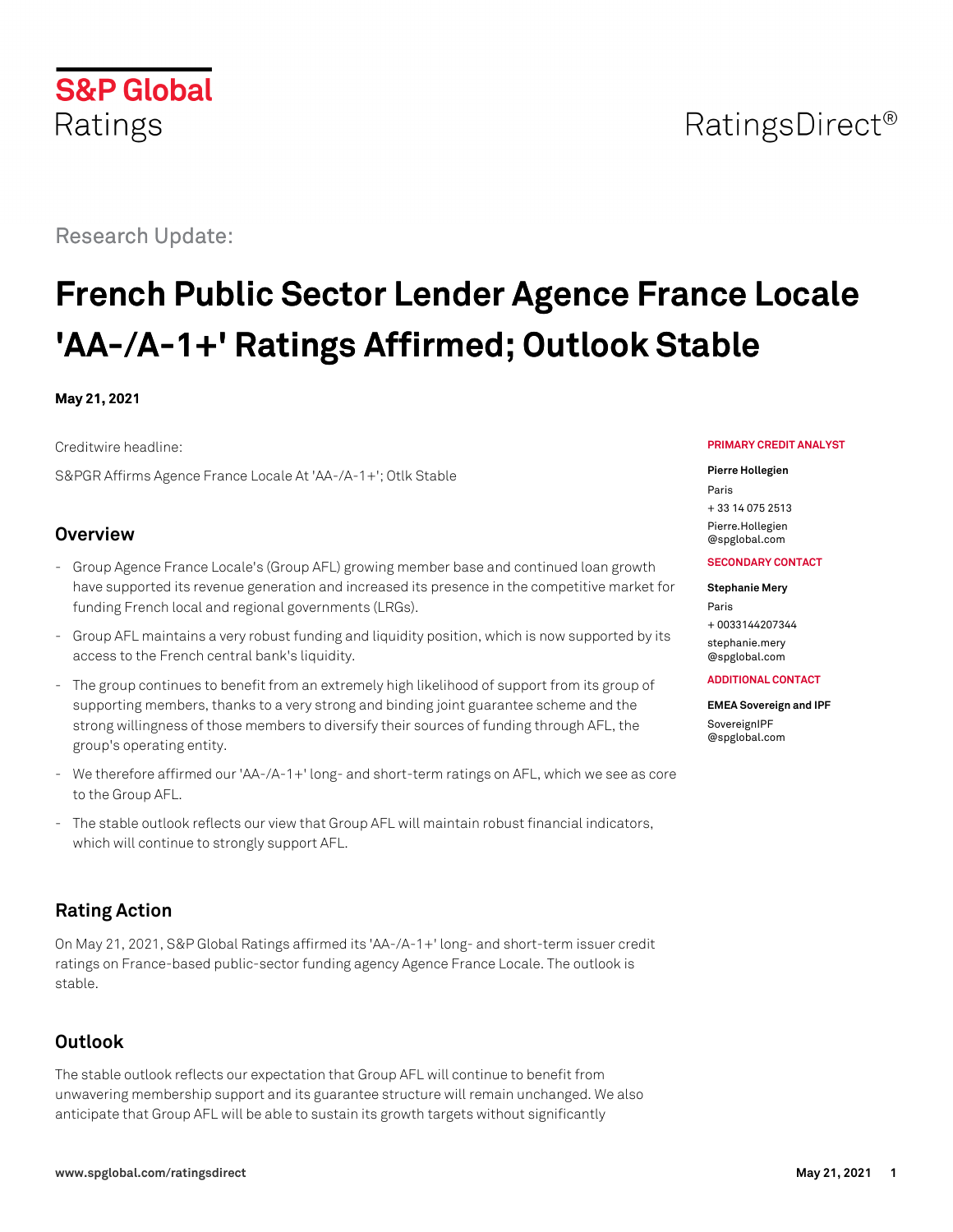# Research Update:

**S&P Global** 

Ratings

# **French Public Sector Lender Agence France Locale 'AA-/A-1+' Ratings Affirmed; Outlook Stable**

#### **May 21, 2021**

Creditwire headline:

S&PGR Affirms Agence France Locale At 'AA-/A-1+'; Otlk Stable

### **Overview**

- Group Agence France Locale's (Group AFL) growing member base and continued loan growth have supported its revenue generation and increased its presence in the competitive market for funding French local and regional governments (LRGs).
- Group AFL maintains a very robust funding and liquidity position, which is now supported by its access to the French central bank's liquidity.
- The group continues to benefit from an extremely high likelihood of support from its group of supporting members, thanks to a very strong and binding joint guarantee scheme and the strong willingness of those members to diversify their sources of funding through AFL, the group's operating entity.
- We therefore affirmed our 'AA-/A-1+' long- and short-term ratings on AFL, which we see as core to the Group AFL.
- The stable outlook reflects our view that Group AFL will maintain robust financial indicators, which will continue to strongly support AFL.

# **Rating Action**

On May 21, 2021, S&P Global Ratings affirmed its 'AA-/A-1+' long- and short-term issuer credit ratings on France-based public-sector funding agency Agence France Locale. The outlook is stable.

# **Outlook**

The stable outlook reflects our expectation that Group AFL will continue to benefit from unwavering membership support and its guarantee structure will remain unchanged. We also anticipate that Group AFL will be able to sustain its growth targets without significantly

#### **PRIMARY CREDIT ANALYST**

#### **Pierre Hollegien**

Paris + 33 14 075 2513 [Pierre.Hollegien](mailto:Pierre.Hollegien@spglobal.com) [@spglobal.com](mailto:Pierre.Hollegien@spglobal.com)

#### **SECONDARY CONTACT**

**Stephanie Mery** Paris + 0033144207344 [stephanie.mery](mailto:stephanie.mery@spglobal.com) [@spglobal.com](mailto:stephanie.mery@spglobal.com)

#### **ADDITIONAL CONTACT**

**EMEA Sovereign and IPF** [SovereignIPF](mailto:SovereignIPF@spglobal.com) [@spglobal.com](mailto:SovereignIPF@spglobal.com)

# RatingsDirect<sup>®</sup>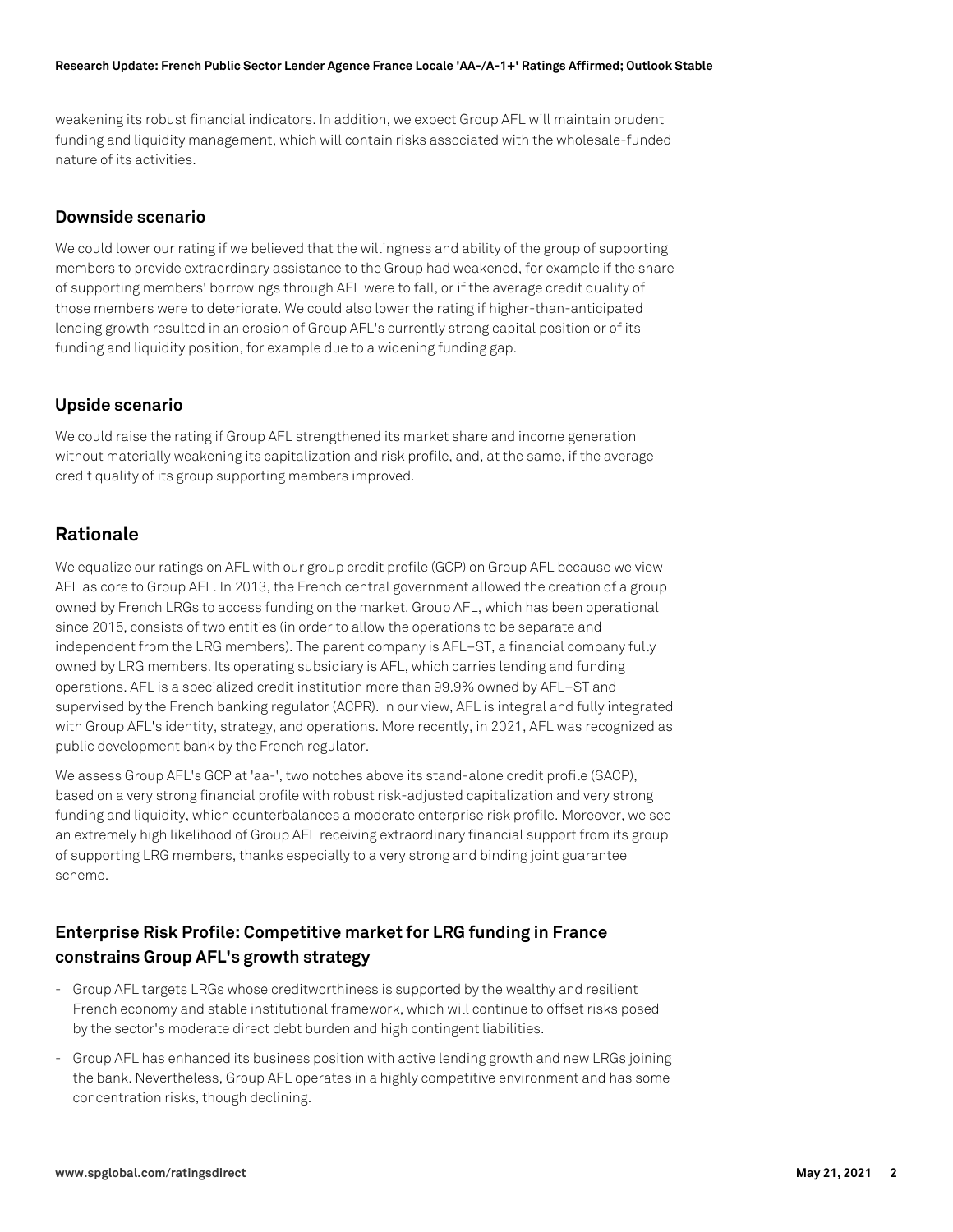weakening its robust financial indicators. In addition, we expect Group AFL will maintain prudent funding and liquidity management, which will contain risks associated with the wholesale-funded nature of its activities.

#### **Downside scenario**

We could lower our rating if we believed that the willingness and ability of the group of supporting members to provide extraordinary assistance to the Group had weakened, for example if the share of supporting members' borrowings through AFL were to fall, or if the average credit quality of those members were to deteriorate. We could also lower the rating if higher-than-anticipated lending growth resulted in an erosion of Group AFL's currently strong capital position or of its funding and liquidity position, for example due to a widening funding gap.

#### **Upside scenario**

We could raise the rating if Group AFL strengthened its market share and income generation without materially weakening its capitalization and risk profile, and, at the same, if the average credit quality of its group supporting members improved.

#### **Rationale**

We equalize our ratings on AFL with our group credit profile (GCP) on Group AFL because we view AFL as core to Group AFL. In 2013, the French central government allowed the creation of a group owned by French LRGs to access funding on the market. Group AFL, which has been operational since 2015, consists of two entities (in order to allow the operations to be separate and independent from the LRG members). The parent company is AFL–ST, a financial company fully owned by LRG members. Its operating subsidiary is AFL, which carries lending and funding operations. AFL is a specialized credit institution more than 99.9% owned by AFL–ST and supervised by the French banking regulator (ACPR). In our view, AFL is integral and fully integrated with Group AFL's identity, strategy, and operations. More recently, in 2021, AFL was recognized as public development bank by the French regulator.

We assess Group AFL's GCP at 'aa-', two notches above its stand-alone credit profile (SACP), based on a very strong financial profile with robust risk-adjusted capitalization and very strong funding and liquidity, which counterbalances a moderate enterprise risk profile. Moreover, we see an extremely high likelihood of Group AFL receiving extraordinary financial support from its group of supporting LRG members, thanks especially to a very strong and binding joint guarantee scheme.

# **Enterprise Risk Profile: Competitive market for LRG funding in France constrains Group AFL's growth strategy**

- Group AFL targets LRGs whose creditworthiness is supported by the wealthy and resilient French economy and stable institutional framework, which will continue to offset risks posed by the sector's moderate direct debt burden and high contingent liabilities.
- Group AFL has enhanced its business position with active lending growth and new LRGs joining the bank. Nevertheless, Group AFL operates in a highly competitive environment and has some concentration risks, though declining.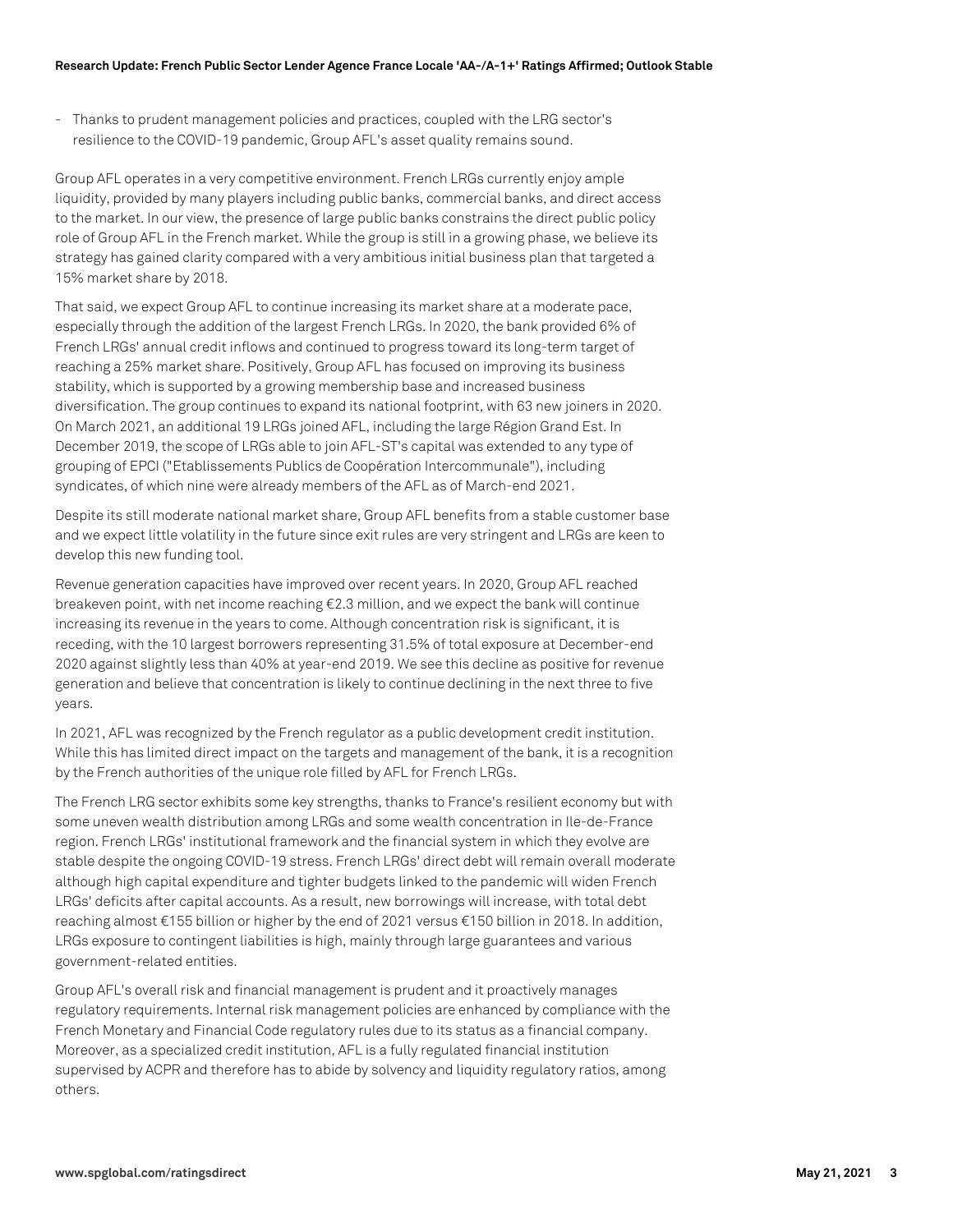- Thanks to prudent management policies and practices, coupled with the LRG sector's resilience to the COVID-19 pandemic, Group AFL's asset quality remains sound.

Group AFL operates in a very competitive environment. French LRGs currently enjoy ample liquidity, provided by many players including public banks, commercial banks, and direct access to the market. In our view, the presence of large public banks constrains the direct public policy role of Group AFL in the French market. While the group is still in a growing phase, we believe its strategy has gained clarity compared with a very ambitious initial business plan that targeted a 15% market share by 2018.

That said, we expect Group AFL to continue increasing its market share at a moderate pace, especially through the addition of the largest French LRGs. In 2020, the bank provided 6% of French LRGs' annual credit inflows and continued to progress toward its long-term target of reaching a 25% market share. Positively, Group AFL has focused on improving its business stability, which is supported by a growing membership base and increased business diversification. The group continues to expand its national footprint, with 63 new joiners in 2020. On March 2021, an additional 19 LRGs joined AFL, including the large Région Grand Est. In December 2019, the scope of LRGs able to join AFL-ST's capital was extended to any type of grouping of EPCI ("Etablissements Publics de Coopération Intercommunale"), including syndicates, of which nine were already members of the AFL as of March-end 2021.

Despite its still moderate national market share, Group AFL benefits from a stable customer base and we expect little volatility in the future since exit rules are very stringent and LRGs are keen to develop this new funding tool.

Revenue generation capacities have improved over recent years. In 2020, Group AFL reached breakeven point, with net income reaching €2.3 million, and we expect the bank will continue increasing its revenue in the years to come. Although concentration risk is significant, it is receding, with the 10 largest borrowers representing 31.5% of total exposure at December-end 2020 against slightly less than 40% at year-end 2019. We see this decline as positive for revenue generation and believe that concentration is likely to continue declining in the next three to five years.

In 2021, AFL was recognized by the French regulator as a public development credit institution. While this has limited direct impact on the targets and management of the bank, it is a recognition by the French authorities of the unique role filled by AFL for French LRGs.

The French LRG sector exhibits some key strengths, thanks to France's resilient economy but with some uneven wealth distribution among LRGs and some wealth concentration in Ile-de-France region. French LRGs' institutional framework and the financial system in which they evolve are stable despite the ongoing COVID-19 stress. French LRGs' direct debt will remain overall moderate although high capital expenditure and tighter budgets linked to the pandemic will widen French LRGs' deficits after capital accounts. As a result, new borrowings will increase, with total debt reaching almost €155 billion or higher by the end of 2021 versus €150 billion in 2018. In addition, LRGs exposure to contingent liabilities is high, mainly through large guarantees and various government-related entities.

Group AFL's overall risk and financial management is prudent and it proactively manages regulatory requirements. Internal risk management policies are enhanced by compliance with the French Monetary and Financial Code regulatory rules due to its status as a financial company. Moreover, as a specialized credit institution, AFL is a fully regulated financial institution supervised by ACPR and therefore has to abide by solvency and liquidity regulatory ratios, among others.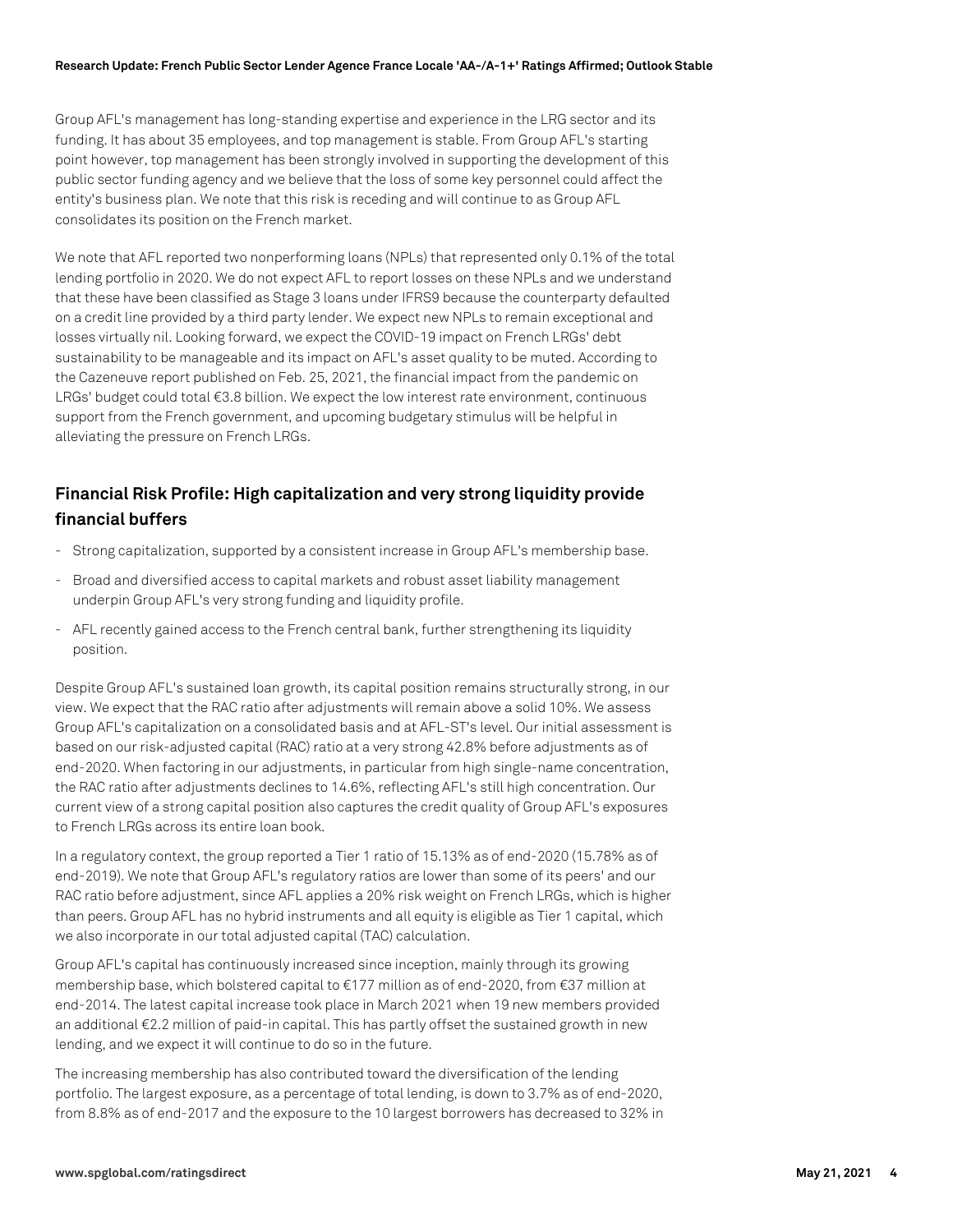#### **Research Update: French Public Sector Lender Agence France Locale 'AA-/A-1+' Ratings Affirmed; Outlook Stable**

Group AFL's management has long-standing expertise and experience in the LRG sector and its funding. It has about 35 employees, and top management is stable. From Group AFL's starting point however, top management has been strongly involved in supporting the development of this public sector funding agency and we believe that the loss of some key personnel could affect the entity's business plan. We note that this risk is receding and will continue to as Group AFL consolidates its position on the French market.

We note that AFL reported two nonperforming loans (NPLs) that represented only 0.1% of the total lending portfolio in 2020. We do not expect AFL to report losses on these NPLs and we understand that these have been classified as Stage 3 loans under IFRS9 because the counterparty defaulted on a credit line provided by a third party lender. We expect new NPLs to remain exceptional and losses virtually nil. Looking forward, we expect the COVID-19 impact on French LRGs' debt sustainability to be manageable and its impact on AFL's asset quality to be muted. According to the Cazeneuve report published on Feb. 25, 2021, the financial impact from the pandemic on LRGs' budget could total €3.8 billion. We expect the low interest rate environment, continuous support from the French government, and upcoming budgetary stimulus will be helpful in alleviating the pressure on French LRGs.

# **Financial Risk Profile: High capitalization and very strong liquidity provide financial buffers**

- Strong capitalization, supported by a consistent increase in Group AFL's membership base.
- Broad and diversified access to capital markets and robust asset liability management underpin Group AFL's very strong funding and liquidity profile.
- AFL recently gained access to the French central bank, further strengthening its liquidity position.

Despite Group AFL's sustained loan growth, its capital position remains structurally strong, in our view. We expect that the RAC ratio after adjustments will remain above a solid 10%. We assess Group AFL's capitalization on a consolidated basis and at AFL-ST's level. Our initial assessment is based on our risk-adjusted capital (RAC) ratio at a very strong 42.8% before adjustments as of end-2020. When factoring in our adjustments, in particular from high single-name concentration, the RAC ratio after adjustments declines to 14.6%, reflecting AFL's still high concentration. Our current view of a strong capital position also captures the credit quality of Group AFL's exposures to French LRGs across its entire loan book.

In a regulatory context, the group reported a Tier 1 ratio of 15.13% as of end-2020 (15.78% as of end-2019). We note that Group AFL's regulatory ratios are lower than some of its peers' and our RAC ratio before adjustment, since AFL applies a 20% risk weight on French LRGs, which is higher than peers. Group AFL has no hybrid instruments and all equity is eligible as Tier 1 capital, which we also incorporate in our total adjusted capital (TAC) calculation.

Group AFL's capital has continuously increased since inception, mainly through its growing membership base, which bolstered capital to €177 million as of end-2020, from €37 million at end-2014. The latest capital increase took place in March 2021 when 19 new members provided an additional €2.2 million of paid-in capital. This has partly offset the sustained growth in new lending, and we expect it will continue to do so in the future.

The increasing membership has also contributed toward the diversification of the lending portfolio. The largest exposure, as a percentage of total lending, is down to 3.7% as of end-2020, from 8.8% as of end-2017 and the exposure to the 10 largest borrowers has decreased to 32% in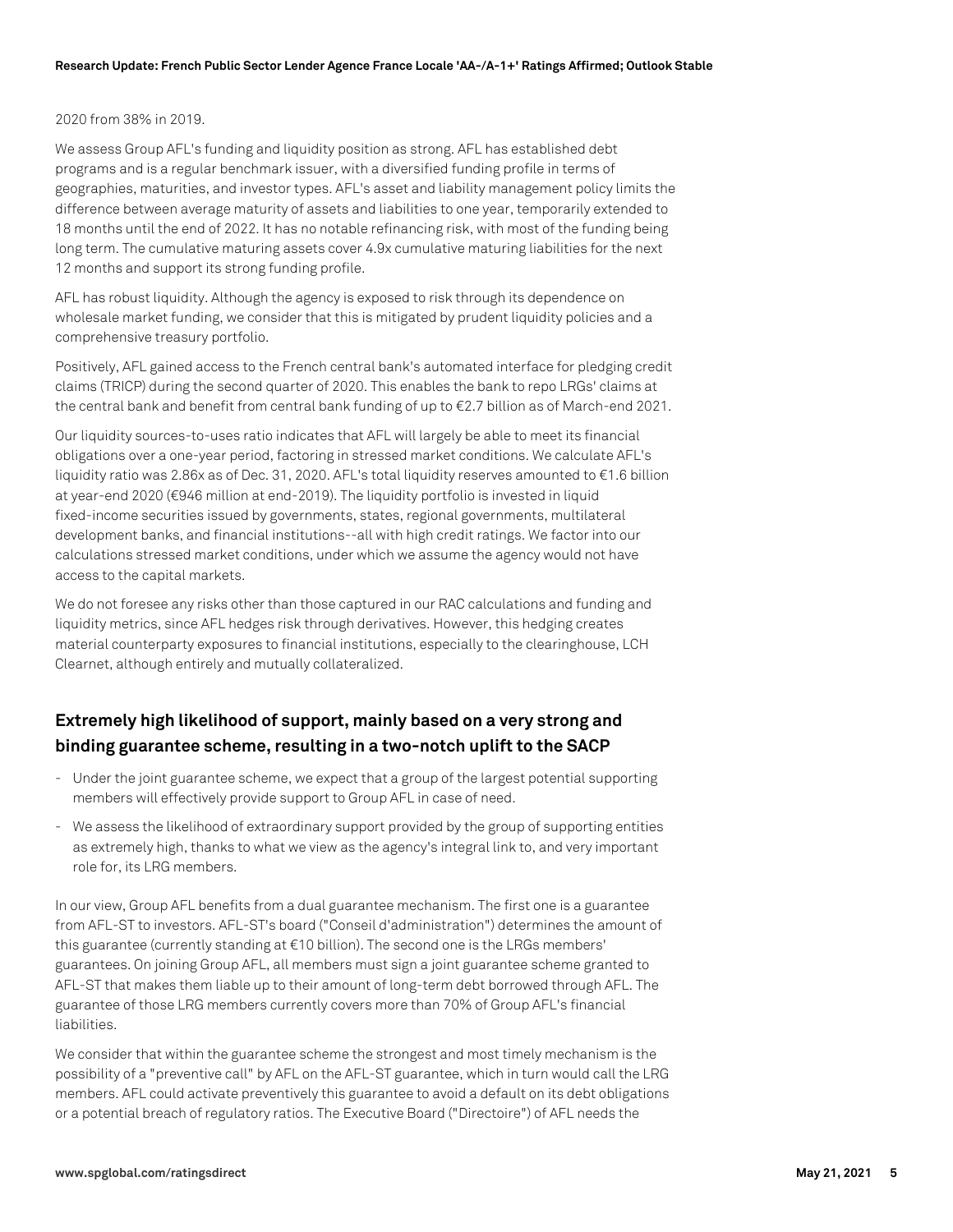#### 2020 from 38% in 2019.

We assess Group AFL's funding and liquidity position as strong. AFL has established debt programs and is a regular benchmark issuer, with a diversified funding profile in terms of geographies, maturities, and investor types. AFL's asset and liability management policy limits the difference between average maturity of assets and liabilities to one year, temporarily extended to 18 months until the end of 2022. It has no notable refinancing risk, with most of the funding being long term. The cumulative maturing assets cover 4.9x cumulative maturing liabilities for the next 12 months and support its strong funding profile.

AFL has robust liquidity. Although the agency is exposed to risk through its dependence on wholesale market funding, we consider that this is mitigated by prudent liquidity policies and a comprehensive treasury portfolio.

Positively, AFL gained access to the French central bank's automated interface for pledging credit claims (TRICP) during the second quarter of 2020. This enables the bank to repo LRGs' claims at the central bank and benefit from central bank funding of up to €2.7 billion as of March-end 2021.

Our liquidity sources-to-uses ratio indicates that AFL will largely be able to meet its financial obligations over a one-year period, factoring in stressed market conditions. We calculate AFL's liquidity ratio was 2.86x as of Dec. 31, 2020. AFL's total liquidity reserves amounted to €1.6 billion at year-end 2020 (€946 million at end-2019). The liquidity portfolio is invested in liquid fixed-income securities issued by governments, states, regional governments, multilateral development banks, and financial institutions--all with high credit ratings. We factor into our calculations stressed market conditions, under which we assume the agency would not have access to the capital markets.

We do not foresee any risks other than those captured in our RAC calculations and funding and liquidity metrics, since AFL hedges risk through derivatives. However, this hedging creates material counterparty exposures to financial institutions, especially to the clearinghouse, LCH Clearnet, although entirely and mutually collateralized.

# **Extremely high likelihood of support, mainly based on a very strong and binding guarantee scheme, resulting in a two-notch uplift to the SACP**

- Under the joint guarantee scheme, we expect that a group of the largest potential supporting members will effectively provide support to Group AFL in case of need.
- We assess the likelihood of extraordinary support provided by the group of supporting entities as extremely high, thanks to what we view as the agency's integral link to, and very important role for, its LRG members.

In our view, Group AFL benefits from a dual guarantee mechanism. The first one is a guarantee from AFL-ST to investors. AFL-ST's board ("Conseil d'administration") determines the amount of this guarantee (currently standing at €10 billion). The second one is the LRGs members' guarantees. On joining Group AFL, all members must sign a joint guarantee scheme granted to AFL-ST that makes them liable up to their amount of long-term debt borrowed through AFL. The guarantee of those LRG members currently covers more than 70% of Group AFL's financial liabilities.

We consider that within the guarantee scheme the strongest and most timely mechanism is the possibility of a "preventive call" by AFL on the AFL-ST guarantee, which in turn would call the LRG members. AFL could activate preventively this guarantee to avoid a default on its debt obligations or a potential breach of regulatory ratios. The Executive Board ("Directoire") of AFL needs the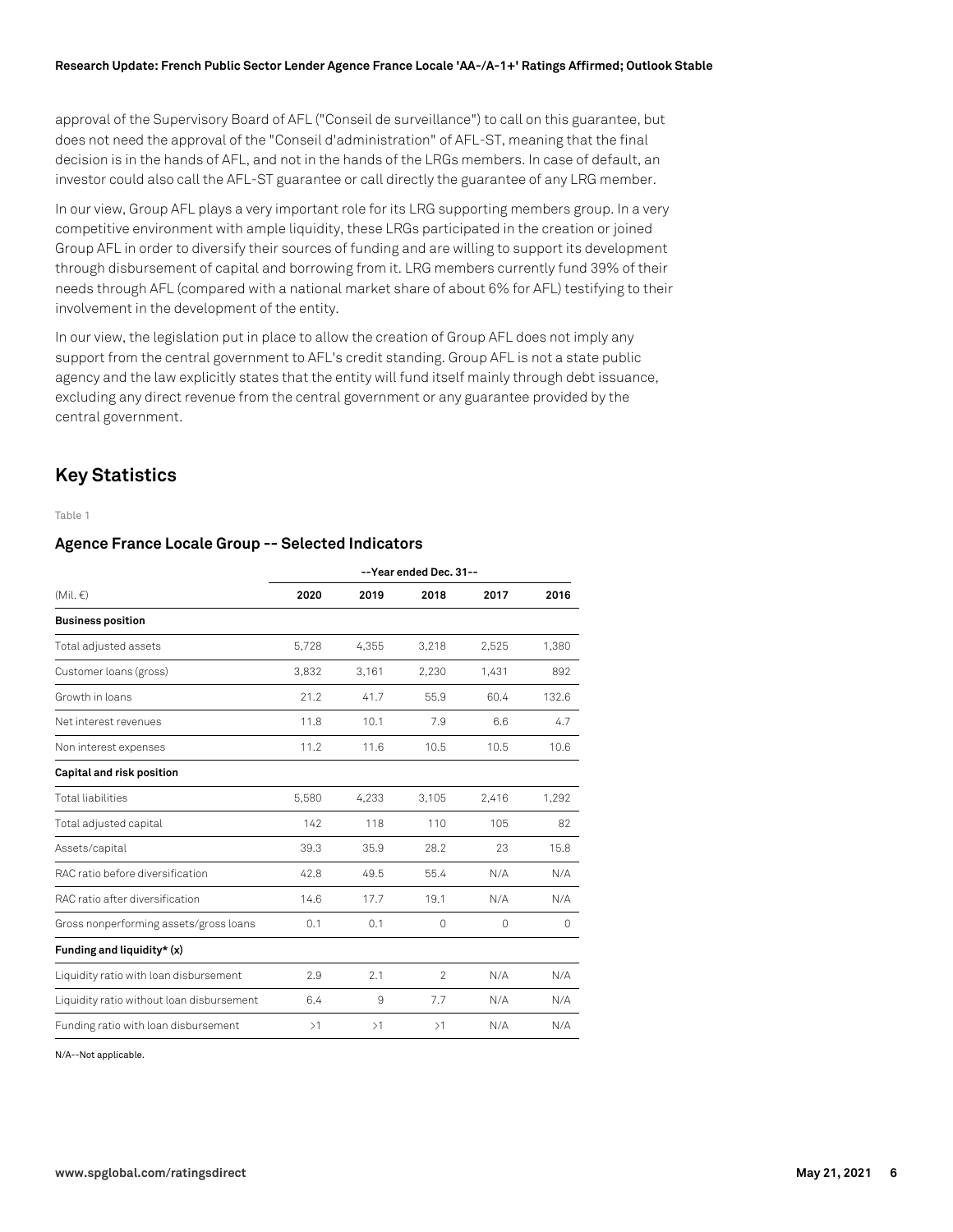approval of the Supervisory Board of AFL ("Conseil de surveillance") to call on this guarantee, but does not need the approval of the "Conseil d'administration" of AFL-ST, meaning that the final decision is in the hands of AFL, and not in the hands of the LRGs members. In case of default, an investor could also call the AFL-ST guarantee or call directly the guarantee of any LRG member.

In our view, Group AFL plays a very important role for its LRG supporting members group. In a very competitive environment with ample liquidity, these LRGs participated in the creation or joined Group AFL in order to diversify their sources of funding and are willing to support its development through disbursement of capital and borrowing from it. LRG members currently fund 39% of their needs through AFL (compared with a national market share of about 6% for AFL) testifying to their involvement in the development of the entity.

In our view, the legislation put in place to allow the creation of Group AFL does not imply any support from the central government to AFL's credit standing. Group AFL is not a state public agency and the law explicitly states that the entity will fund itself mainly through debt issuance, excluding any direct revenue from the central government or any guarantee provided by the central government.

### **Key Statistics**

Table 1

#### **Agence France Locale Group -- Selected Indicators**

|                                           | --Year ended Dec. 31-- |       |                |          |          |
|-------------------------------------------|------------------------|-------|----------------|----------|----------|
| (Mil. $\in$ )                             | 2020                   | 2019  | 2018           | 2017     | 2016     |
| <b>Business position</b>                  |                        |       |                |          |          |
| Total adjusted assets                     | 5,728                  | 4,355 | 3,218          | 2,525    | 1,380    |
| Customer loans (gross)                    | 3.832                  | 3,161 | 2.230          | 1,431    | 892      |
| Growth in loans                           | 21.2                   | 41.7  | 55.9           | 60.4     | 132.6    |
| Net interest revenues                     | 11.8                   | 10.1  | 7.9            | 6.6      | 4.7      |
| Non interest expenses                     | 11.2                   | 11.6  | 10.5           | 10.5     | 10.6     |
| Capital and risk position                 |                        |       |                |          |          |
| <b>Total liabilities</b>                  | 5,580                  | 4,233 | 3,105          | 2,416    | 1,292    |
| Total adjusted capital                    | 142                    | 118   | 110            | 105      | 82       |
| Assets/capital                            | 39.3                   | 35.9  | 28.2           | 23       | 15.8     |
| RAC ratio before diversification          | 42.8                   | 49.5  | 55.4           | N/A      | N/A      |
| RAC ratio after diversification           | 14.6                   | 17.7  | 19.1           | N/A      | N/A      |
| Gross nonperforming assets/gross loans    | 0.1                    | 0.1   | $\Omega$       | $\Omega$ | $\Omega$ |
| Funding and liquidity* (x)                |                        |       |                |          |          |
| Liquidity ratio with loan disbursement    | 2.9                    | 2.1   | $\mathfrak{D}$ | N/A      | N/A      |
| Liquidity ratio without loan disbursement | 6.4                    | 9     | 7.7            | N/A      | N/A      |
| Funding ratio with loan disbursement      | >1                     | >1    | >1             | N/A      | N/A      |

N/A--Not applicable.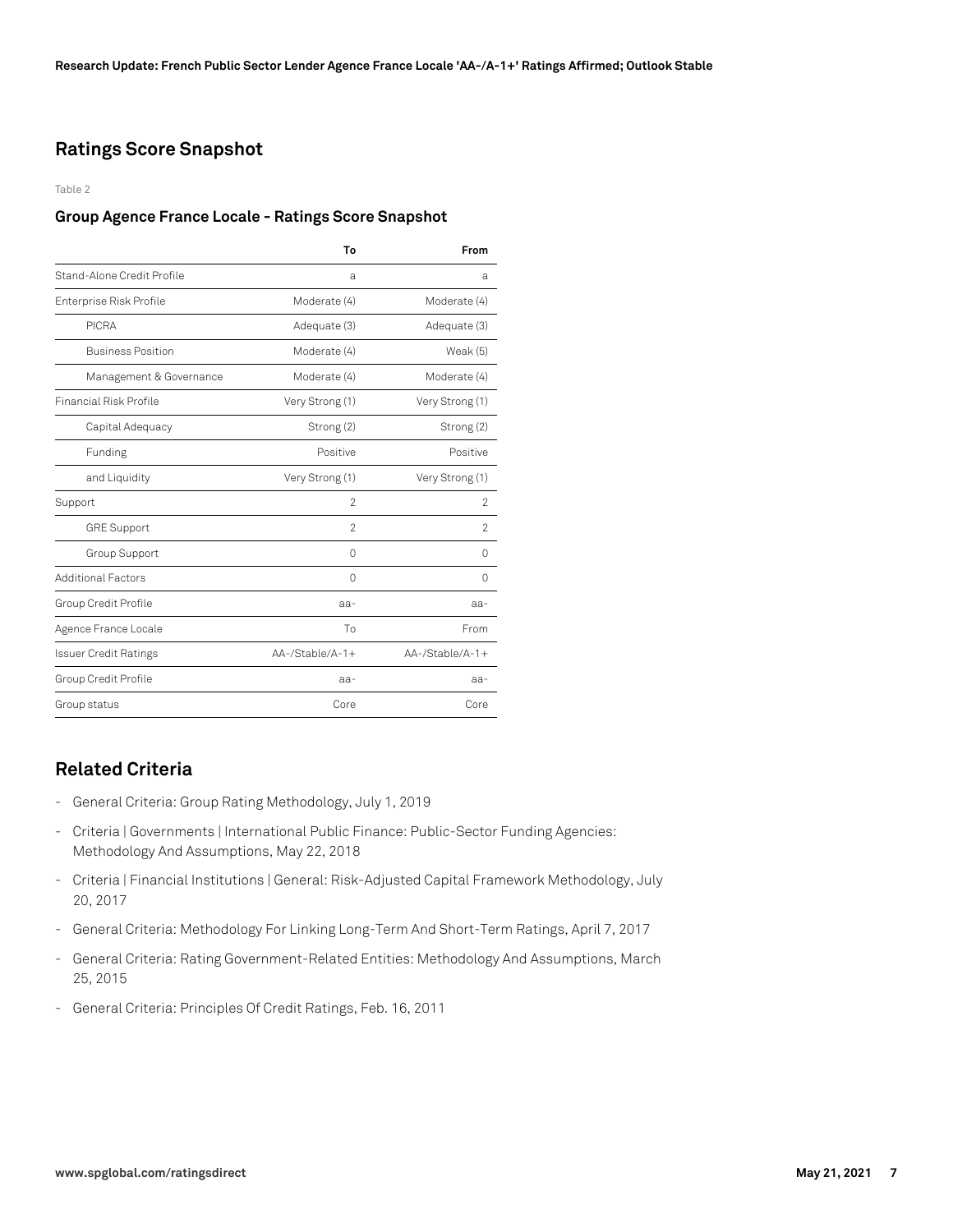# **Ratings Score Snapshot**

Table 2

#### **Group Agence France Locale - Ratings Score Snapshot**

|                               | To                 | From            |  |
|-------------------------------|--------------------|-----------------|--|
| Stand-Alone Credit Profile    | a                  | a               |  |
| Enterprise Risk Profile       | Moderate (4)       | Moderate (4)    |  |
| <b>PICRA</b>                  | Adequate (3)       | Adequate (3)    |  |
| <b>Business Position</b>      | Moderate (4)       | Weak $(5)$      |  |
| Management & Governance       | Moderate (4)       | Moderate (4)    |  |
| <b>Financial Risk Profile</b> | Very Strong (1)    | Very Strong (1) |  |
| Capital Adequacy              | Strong (2)         | Strong (2)      |  |
| Funding                       | Positive           | Positive        |  |
| and Liquidity                 | Very Strong (1)    | Very Strong (1) |  |
| Support                       | $\mathfrak{D}$     | $\mathfrak{p}$  |  |
| <b>GRE Support</b>            | $\mathfrak{D}$     | $\mathcal{P}$   |  |
| Group Support                 | 0                  | 0               |  |
| <b>Additional Factors</b>     | U                  | Ω               |  |
| Group Credit Profile          | $aa-$              | $aa-$           |  |
| Agence France Locale          | To                 | From            |  |
| <b>Issuer Credit Ratings</b>  | $AA$ -/Stable/A-1+ | AA-/Stable/A-1+ |  |
| Group Credit Profile          | aa-                | aa-             |  |
| Group status                  | Core               | Core            |  |

# **Related Criteria**

- General Criteria: Group Rating Methodology, July 1, 2019
- Criteria | Governments | International Public Finance: Public-Sector Funding Agencies: Methodology And Assumptions, May 22, 2018
- Criteria | Financial Institutions | General: Risk-Adjusted Capital Framework Methodology, July 20, 2017
- General Criteria: Methodology For Linking Long-Term And Short-Term Ratings, April 7, 2017
- General Criteria: Rating Government-Related Entities: Methodology And Assumptions, March 25, 2015
- General Criteria: Principles Of Credit Ratings, Feb. 16, 2011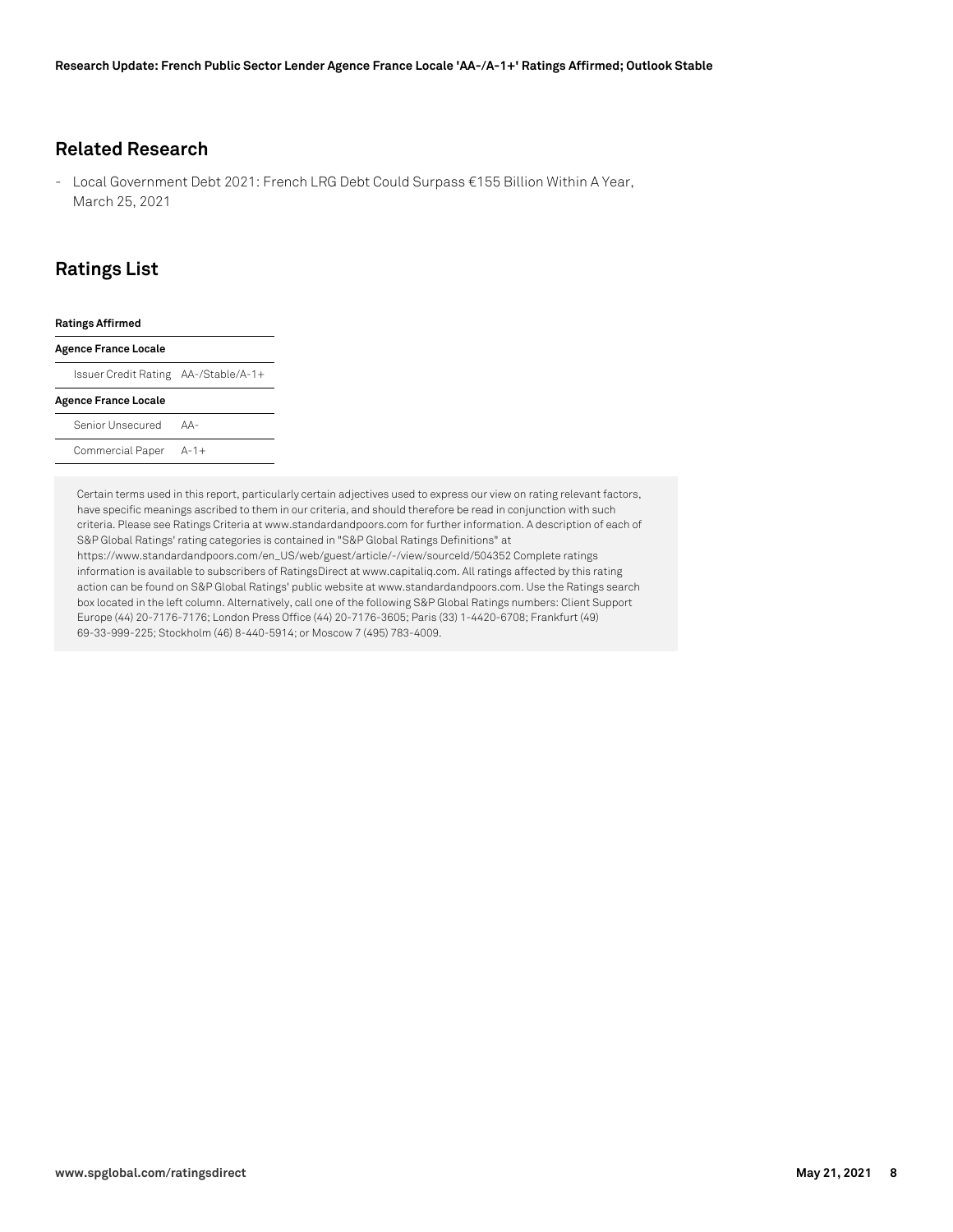#### **Related Research**

- Local Government Debt 2021: French LRG Debt Could Surpass €155 Billion Within A Year, March 25, 2021

# **Ratings List**

| <b>Ratings Affirmed</b>              |       |  |
|--------------------------------------|-------|--|
| <b>Agence France Locale</b>          |       |  |
| Issuer Credit Rating AA-/Stable/A-1+ |       |  |
| <b>Agence France Locale</b>          |       |  |
| Senior Unsecured                     | $AA-$ |  |
| Commercial Paper A-1+                |       |  |
|                                      |       |  |

Certain terms used in this report, particularly certain adjectives used to express our view on rating relevant factors, have specific meanings ascribed to them in our criteria, and should therefore be read in conjunction with such criteria. Please see Ratings Criteria at www.standardandpoors.com for further information. A description of each of S&P Global Ratings' rating categories is contained in "S&P Global Ratings Definitions" at https://www.standardandpoors.com/en\_US/web/guest/article/-/view/sourceId/504352 Complete ratings information is available to subscribers of RatingsDirect at www.capitaliq.com. All ratings affected by this rating action can be found on S&P Global Ratings' public website at www.standardandpoors.com. Use the Ratings search box located in the left column. Alternatively, call one of the following S&P Global Ratings numbers: Client Support Europe (44) 20-7176-7176; London Press Office (44) 20-7176-3605; Paris (33) 1-4420-6708; Frankfurt (49) 69-33-999-225; Stockholm (46) 8-440-5914; or Moscow 7 (495) 783-4009.